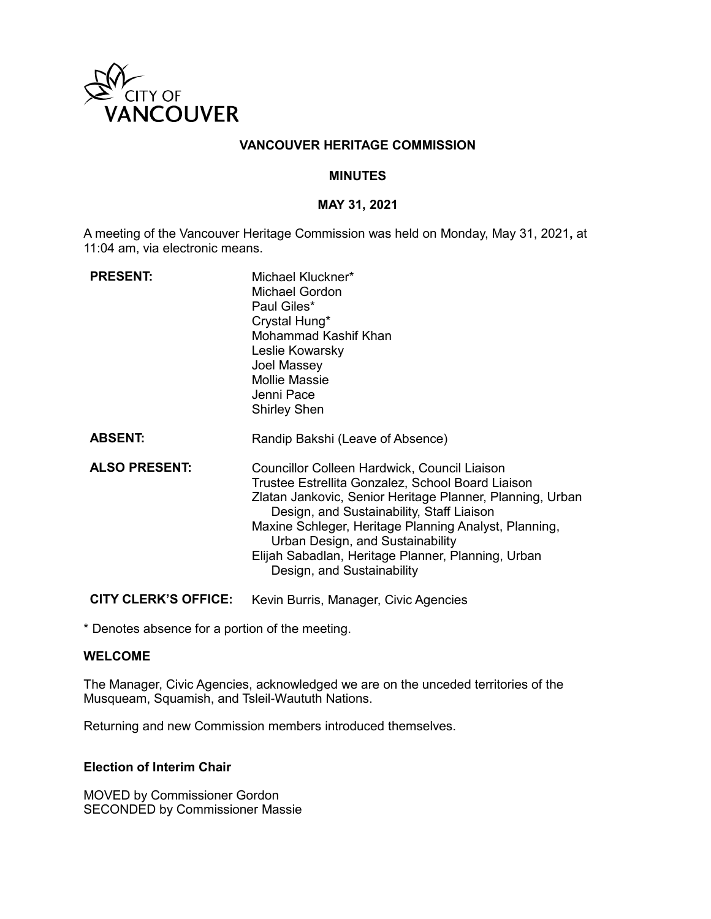

## **VANCOUVER HERITAGE COMMISSION**

#### **MINUTES**

### **MAY 31, 2021**

A meeting of the Vancouver Heritage Commission was held on Monday, May 31, 2021**,** at 11:04 am, via electronic means.

| <b>PRESENT:</b>      | Michael Kluckner*<br>Michael Gordon<br>Paul Giles*<br>Crystal Hung*<br>Mohammad Kashif Khan<br>Leslie Kowarsky<br>Joel Massey<br><b>Mollie Massie</b><br>Jenni Pace<br><b>Shirley Shen</b>                                                                                                                                                                                                   |
|----------------------|----------------------------------------------------------------------------------------------------------------------------------------------------------------------------------------------------------------------------------------------------------------------------------------------------------------------------------------------------------------------------------------------|
| <b>ABSENT:</b>       | Randip Bakshi (Leave of Absence)                                                                                                                                                                                                                                                                                                                                                             |
| <b>ALSO PRESENT:</b> | Councillor Colleen Hardwick, Council Liaison<br>Trustee Estrellita Gonzalez, School Board Liaison<br>Zlatan Jankovic, Senior Heritage Planner, Planning, Urban<br>Design, and Sustainability, Staff Liaison<br>Maxine Schleger, Heritage Planning Analyst, Planning,<br>Urban Design, and Sustainability<br>Elijah Sabadlan, Heritage Planner, Planning, Urban<br>Design, and Sustainability |

**CITY CLERK'S OFFICE:** Kevin Burris, Manager, Civic Agencies

\* Denotes absence for a portion of the meeting.

#### **WELCOME**

The Manager, Civic Agencies, acknowledged we are on the unceded territories of the Musqueam, Squamish, and Tsleil-Waututh Nations.

Returning and new Commission members introduced themselves.

# **Election of Interim Chair**

MOVED by Commissioner Gordon SECONDED by Commissioner Massie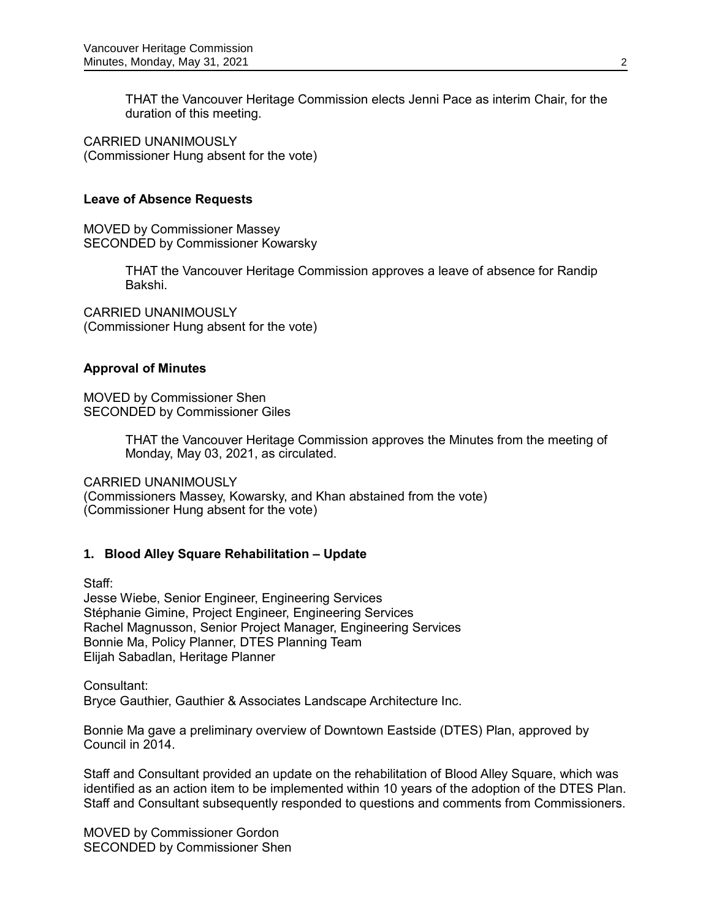THAT the Vancouver Heritage Commission elects Jenni Pace as interim Chair, for the duration of this meeting.

CARRIED UNANIMOUSLY (Commissioner Hung absent for the vote)

## **Leave of Absence Requests**

MOVED by Commissioner Massey SECONDED by Commissioner Kowarsky

> THAT the Vancouver Heritage Commission approves a leave of absence for Randip Bakshi.

CARRIED UNANIMOUSLY (Commissioner Hung absent for the vote)

## **Approval of Minutes**

MOVED by Commissioner Shen SECONDED by Commissioner Giles

> THAT the Vancouver Heritage Commission approves the Minutes from the meeting of Monday, May 03, 2021, as circulated.

CARRIED UNANIMOUSLY

(Commissioners Massey, Kowarsky, and Khan abstained from the vote) (Commissioner Hung absent for the vote)

# **1. Blood Alley Square Rehabilitation – Update**

Staff:

Jesse Wiebe, Senior Engineer, Engineering Services Stéphanie Gimine, Project Engineer, Engineering Services Rachel Magnusson, Senior Project Manager, Engineering Services Bonnie Ma, Policy Planner, DTES Planning Team Elijah Sabadlan, Heritage Planner

Consultant: Bryce Gauthier, Gauthier & Associates Landscape Architecture Inc.

Bonnie Ma gave a preliminary overview of Downtown Eastside (DTES) Plan, approved by Council in 2014.

Staff and Consultant provided an update on the rehabilitation of Blood Alley Square, which was identified as an action item to be implemented within 10 years of the adoption of the DTES Plan. Staff and Consultant subsequently responded to questions and comments from Commissioners.

MOVED by Commissioner Gordon SECONDED by Commissioner Shen